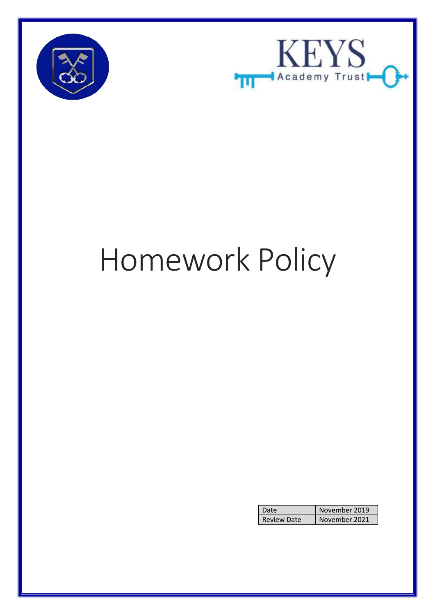



# Homework Policy

|                    | November 2019 |
|--------------------|---------------|
| <b>Review Date</b> | November 2021 |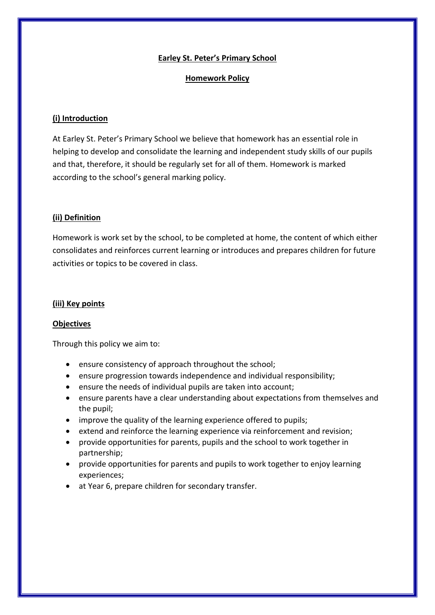#### **Earley St. Peter's Primary School**

#### **Homework Policy**

## **(i) Introduction**

At Earley St. Peter's Primary School we believe that homework has an essential role in helping to develop and consolidate the learning and independent study skills of our pupils and that, therefore, it should be regularly set for all of them. Homework is marked according to the school's general marking policy.

## **(ii) Definition**

Homework is work set by the school, to be completed at home, the content of which either consolidates and reinforces current learning or introduces and prepares children for future activities or topics to be covered in class.

#### **(iii) Key points**

#### **Objectives**

Through this policy we aim to:

- ensure consistency of approach throughout the school;
- ensure progression towards independence and individual responsibility;
- ensure the needs of individual pupils are taken into account;
- ensure parents have a clear understanding about expectations from themselves and the pupil;
- improve the quality of the learning experience offered to pupils;
- extend and reinforce the learning experience via reinforcement and revision;
- provide opportunities for parents, pupils and the school to work together in partnership;
- provide opportunities for parents and pupils to work together to enjoy learning experiences;
- at Year 6, prepare children for secondary transfer.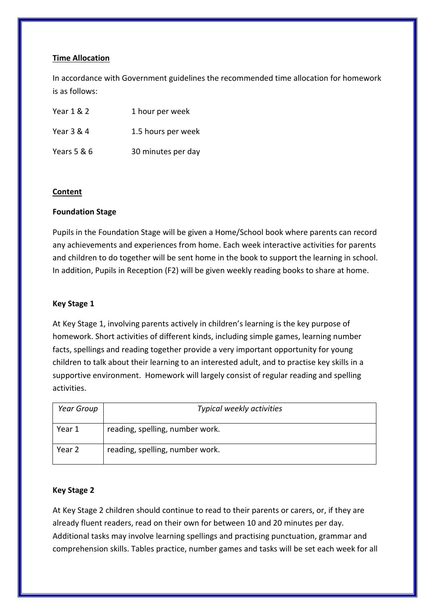## **Time Allocation**

In accordance with Government guidelines the recommended time allocation for homework is as follows:

| Year 1 & 2  | 1 hour per week    |
|-------------|--------------------|
| Year 3 & 4  | 1.5 hours per week |
| Years 5 & 6 | 30 minutes per day |

#### **Content**

## **Foundation Stage**

Pupils in the Foundation Stage will be given a Home/School book where parents can record any achievements and experiences from home. Each week interactive activities for parents and children to do together will be sent home in the book to support the learning in school. In addition, Pupils in Reception (F2) will be given weekly reading books to share at home.

#### **Key Stage 1**

At Key Stage 1, involving parents actively in children's learning is the key purpose of homework. Short activities of different kinds, including simple games, learning number facts, spellings and reading together provide a very important opportunity for young children to talk about their learning to an interested adult, and to practise key skills in a supportive environment. Homework will largely consist of regular reading and spelling activities.

| Year Group | Typical weekly activities       |
|------------|---------------------------------|
| Year 1     | reading, spelling, number work. |
| Year 2     | reading, spelling, number work. |

#### **Key Stage 2**

At Key Stage 2 children should continue to read to their parents or carers, or, if they are already fluent readers, read on their own for between 10 and 20 minutes per day. Additional tasks may involve learning spellings and practising punctuation, grammar and comprehension skills. Tables practice, number games and tasks will be set each week for all